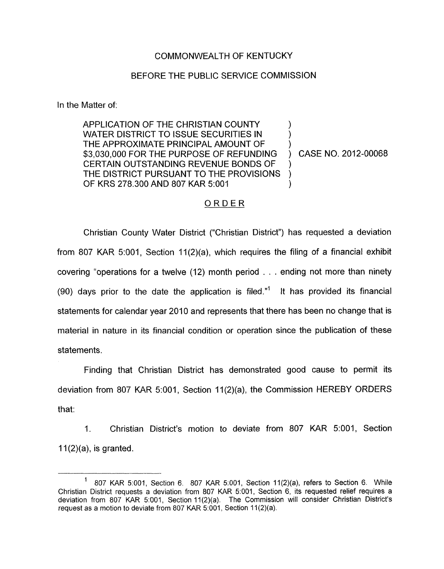## COMMONWEALTH OF KENTUCKY

## BEFORE THE PUBLIC SERVICE COMMISSION

In the Matter of:

APPLICATION OF THE CHRISTIAN COUNTY WATER DISTRICT TO ISSUE SECURITIES IN THE APPROXIMATE PRINCIPAL AMOUNT OF \$3,030,000 FOR THE PURPOSE OF REFUNDING ) CASE NO. 2012-00068 CERTAIN OUTSTANDING REVENUE BONDS OF THE DISTRICT PURSUANT TO THE PROVISIONS OF KRS 278.300 AND 807 KAR 5:001

) 1  $\sum_{i=1}^{n}$ 

## ORDER

Christian County Water District ("Christian District") has requested a deviation from 807 KAR 5:001, Section 11(2)(a), which requires the filing of a financial exhibit covering "operations for a twelve (12) month period . . . ending not more than ninety (90) days prior to the date the application is filed." It has provided its financial statements for calendar year 2010 and represents that there has been no change that is material in nature in its financial condition or operation since the publication of these statements.

Finding that Christian District has demonstrated good cause to permit its deviation from 807 KAR 5:001, Section 11(2)(a), the Commission HEREBY ORDERS that:

1. Christian District's motion to deviate from 807 KAR 5:001, Section  $11(2)(a)$ , is granted.

 $1$  807 KAR 5:001, Section 6. 807 KAR 5:001, Section 11(2)(a), refers to Section 6. While Christian District requests a deviation from 807 KAR 5:001, Section 6, its requested relief requires a deviation from 807 KAR 5:001, Section 11(2)(a). The Commission will consider Christian District's request as a motion to deviate from 807 KAR 5001, Section 1 I (2)(a).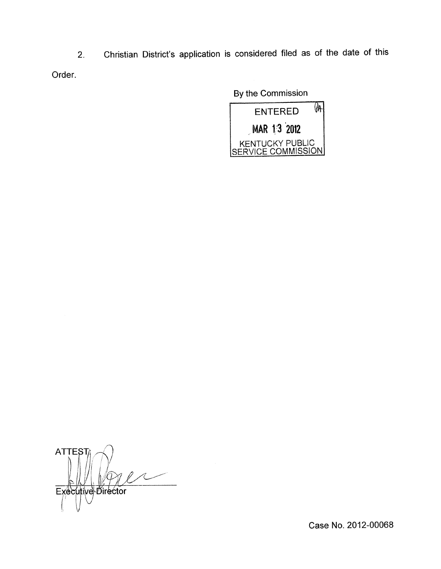2. Christian District's application is considered filed as of the date of this Order.

By the Commission



ATTEST Executive Director

Case No. 2012-00068